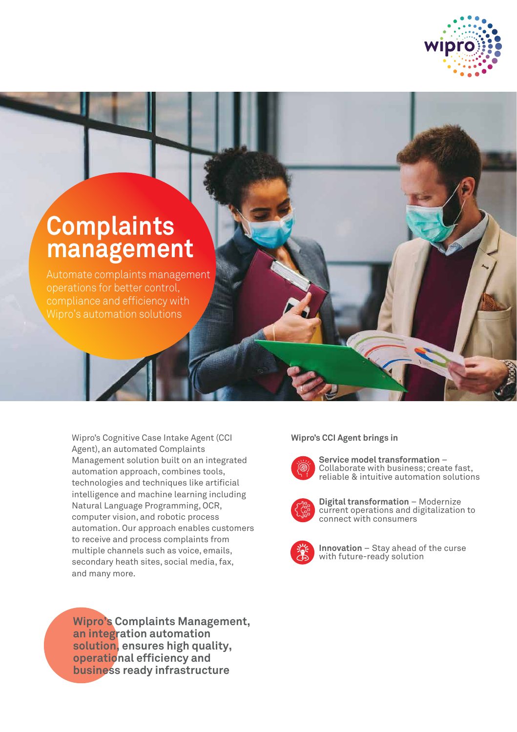

## **Complaints management**

Automate complaints management operations for better control, compliance and efficiency with Wipro's automation solutions

> Wipro's Cognitive Case Intake Agent (CCI Agent), an automated Complaints Management solution built on an integrated automation approach, combines tools, technologies and techniques like artificial intelligence and machine learning including Natural Language Programming, OCR, computer vision, and robotic process automation. Our approach enables customers to receive and process complaints from multiple channels such as voice, emails, secondary heath sites, social media, fax, and many more.

**Wipro's Complaints Management, an integration automation solution, ensures high quality, operational efficiency and business ready infrastructure** 

## **Wipro's CCI Agent brings in**



**Service model transformation** – Collaborate with business; create fast, reliable & intuitive automation solutions



**Digital transformation** – Modernize current operations and digitalization to connect with consumers



**Innovation** – Stay ahead of the curse with future-ready solution